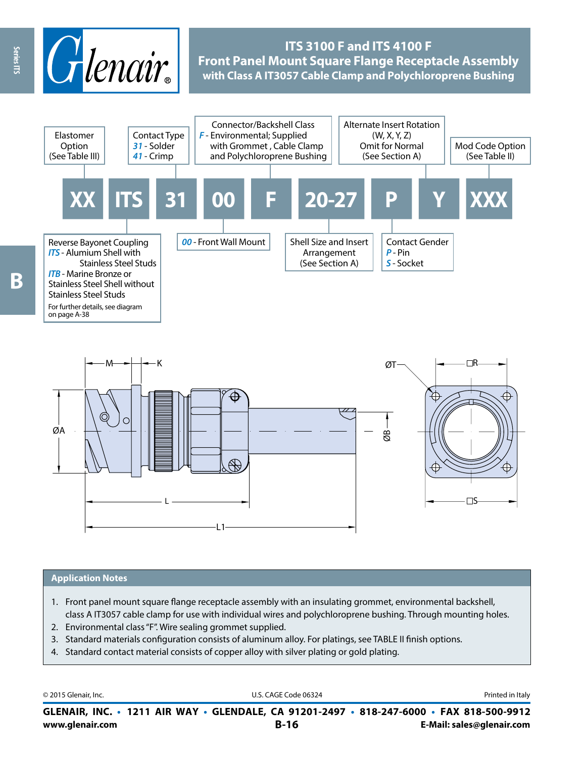

# **ITS 3100 F and ITS 4100 F Front Panel Mount Square Flange Receptacle Assembly with Class A IT3057 Cable Clamp and Polychloroprene Bushing**



M K ⊟R ØT ⊕ ØA  $\dot{\mathbf{e}}$  $\bigoplus$ ⊕  $\square$ S L

#### **Application Notes**

- 1. Front panel mount square flange receptacle assembly with an insulating grommet, environmental backshell, class A IT3057 cable clamp for use with individual wires and polychloroprene bushing. Through mounting holes.
- 2. Environmental class "F". Wire sealing grommet supplied.
- 3. Standard materials configuration consists of aluminum alloy. For platings, see TABLE II finish options.
- 4. Standard contact material consists of copper alloy with silver plating or gold plating.

L1

© 2015 Glenair, Inc. **Discription Construction Construction Construction Construction Construction Construction Construction Construction Construction Construction Construction Construction Construction Construction Constr** 

**www.glenair.com B-16 E-Mail: sales@glenair.com GLENAIR, INC. • 1211 AIR WAY • GLENDALE, CA 91201-2497 • 818-247-6000 • FAX 818-500-9912**

Series ITS

on page A-38